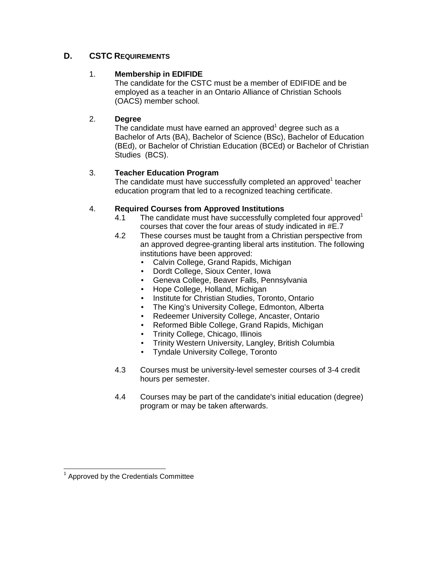# **D. CSTC REQUIREMENTS**

## 1. **Membership in EDIFIDE**

 The candidate for the CSTC must be a member of EDIFIDE and be employed as a teacher in an Ontario Alliance of Christian Schools (OACS) member school.

### 2. **Degree**

The candidate must have earned an approved<sup>1</sup> degree such as a Bachelor of Arts (BA), Bachelor of Science (BSc), Bachelor of Education (BEd), or Bachelor of Christian Education (BCEd) or Bachelor of Christian Studies (BCS).

## 3. **Teacher Education Program**

The candidate must have successfully completed an approved $1$  teacher education program that led to a recognized teaching certificate.

### 4. **Required Courses from Approved Institutions**

- 4.1 The candidate must have successfully completed four approved<sup>1</sup> courses that cover the four areas of study indicated in #E.7
- 4.2 These courses must be taught from a Christian perspective from an approved degree-granting liberal arts institution. The following institutions have been approved:
	- Calvin College, Grand Rapids, Michigan
	- Dordt College, Sioux Center, Iowa
	- Geneva College, Beaver Falls, Pennsylvania
	- Hope College, Holland, Michigan
	- Institute for Christian Studies, Toronto, Ontario
	- The King's University College, Edmonton, Alberta
	- Redeemer University College, Ancaster, Ontario
	- Reformed Bible College, Grand Rapids, Michigan
	- Trinity College, Chicago, Illinois
	- Trinity Western University, Langley, British Columbia
	- Tyndale University College, Toronto
- 4.3 Courses must be university-level semester courses of 3-4 credit hours per semester.
- 4.4 Courses may be part of the candidate's initial education (degree) program or may be taken afterwards.

 1 Approved by the Credentials Committee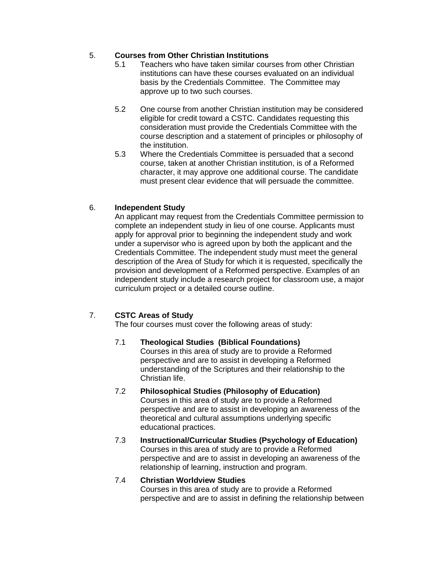## 5. **Courses from Other Christian Institutions**

- 5.1 Teachers who have taken similar courses from other Christian institutions can have these courses evaluated on an individual basis by the Credentials Committee. The Committee may approve up to two such courses.
- 5.2 One course from another Christian institution may be considered eligible for credit toward a CSTC. Candidates requesting this consideration must provide the Credentials Committee with the course description and a statement of principles or philosophy of the institution.
- 5.3 Where the Credentials Committee is persuaded that a second course, taken at another Christian institution, is of a Reformed character, it may approve one additional course. The candidate must present clear evidence that will persuade the committee.

### 6. **Independent Study**

An applicant may request from the Credentials Committee permission to complete an independent study in lieu of one course. Applicants must apply for approval prior to beginning the independent study and work under a supervisor who is agreed upon by both the applicant and the Credentials Committee. The independent study must meet the general description of the Area of Study for which it is requested, specifically the provision and development of a Reformed perspective. Examples of an independent study include a research project for classroom use, a major curriculum project or a detailed course outline.

## 7. **CSTC Areas of Study**

The four courses must cover the following areas of study:

#### 7.1 **Theological Studies (Biblical Foundations)** Courses in this area of study are to provide a Reformed perspective and are to assist in developing a Reformed understanding of the Scriptures and their relationship to the Christian life.

- 7.2 **Philosophical Studies (Philosophy of Education)**  Courses in this area of study are to provide a Reformed perspective and are to assist in developing an awareness of the theoretical and cultural assumptions underlying specific educational practices.
- 7.3 **Instructional/Curricular Studies (Psychology of Education)**  Courses in this area of study are to provide a Reformed perspective and are to assist in developing an awareness of the relationship of learning, instruction and program.

#### 7.4 **Christian Worldview Studies**

Courses in this area of study are to provide a Reformed perspective and are to assist in defining the relationship between